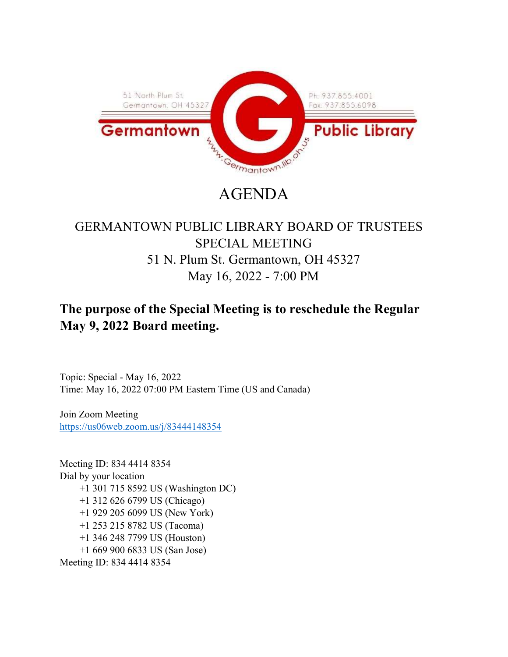

# AGENDA

# GERMANTOWN PUBLIC LIBRARY BOARD OF TRUSTEES SPECIAL MEETING 51 N. Plum St. Germantown, OH 45327 May 16, 2022 - 7:00 PM

# The purpose of the Special Meeting is to reschedule the Regular May 9, 2022 Board meeting.

Topic: Special - May 16, 2022 Time: May 16, 2022 07:00 PM Eastern Time (US and Canada)

Join Zoom Meeting https://us06web.zoom.us/j/83444148354

Meeting ID: 834 4414 8354 Dial by your location +1 301 715 8592 US (Washington DC) +1 312 626 6799 US (Chicago) +1 929 205 6099 US (New York) +1 253 215 8782 US (Tacoma) +1 346 248 7799 US (Houston) +1 669 900 6833 US (San Jose) Meeting ID: 834 4414 8354